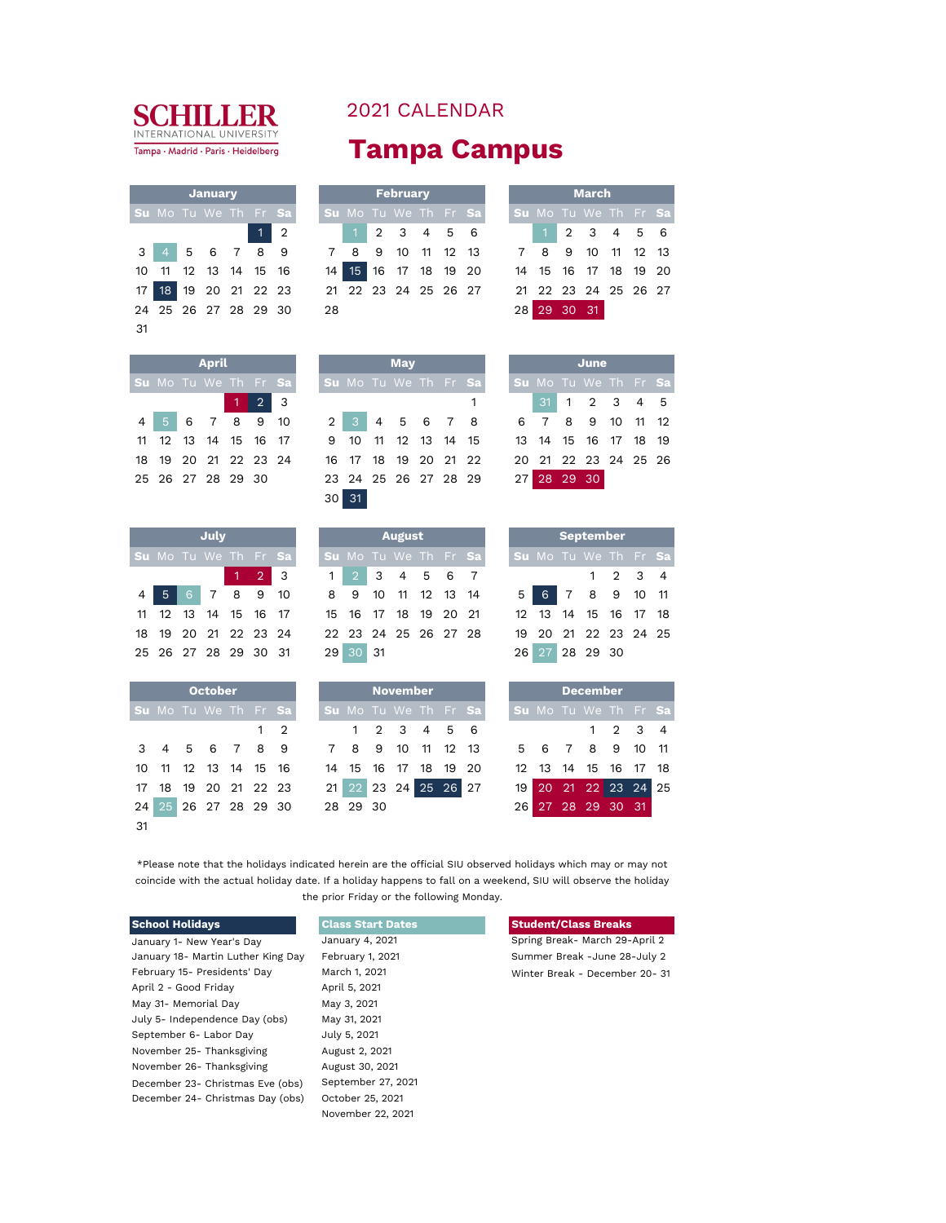

10 11 12 13 14 15 16 14 15 16 17 18 19 20 14 15 16 17 18 19 20 17 18 19 20 21 22 23 24 25 26 27 28 29 30 28 28 29 30 31

31

| <b>2021 CALENDAR</b> |  |  |  |  |
|----------------------|--|--|--|--|
|----------------------|--|--|--|--|

## **Tampa Campus**

|                                                    | <b>January</b> |            |                                                                                     |      |  | February |               |                             |  |             | <b>March</b> |                      |  |
|----------------------------------------------------|----------------|------------|-------------------------------------------------------------------------------------|------|--|----------|---------------|-----------------------------|--|-------------|--------------|----------------------|--|
| $\mathsf{su}$ Mo Tu We Th Fr $\mathsf{Sa}$ $\vert$ |                |            |                                                                                     |      |  |          |               | <b>Su</b> Mo Tu We Th Fr Sa |  |             |              | Su Mo Tu We Th Fr Sa |  |
|                                                    |                | $1\vert 2$ |                                                                                     |      |  |          | $1$ 2 3 4 5 6 |                             |  |             |              | 1 2 3 4 5 6          |  |
|                                                    |                |            | 3 4 5 6 7 8 9 7 8 9 10 11 12 13 7 8 9 10 11 12 13                                   |      |  |          |               |                             |  |             |              |                      |  |
|                                                    |                |            | l0 11 12 13 14 15 16      14 15 16 17 18 19 20     14 15 16 17 18 19 20             |      |  |          |               |                             |  |             |              |                      |  |
|                                                    |                |            | 17 <mark>18</mark> 19 20 21 22 23     21 22 23 24 25 26 27     21 22 23 24 25 26 27 |      |  |          |               |                             |  |             |              |                      |  |
| 04 25 26 27 28 29 30                               |                |            |                                                                                     | - 28 |  |          |               |                             |  | 28 29 30 31 |              |                      |  |

|                 |          | <b>March</b>         |  |  |
|-----------------|----------|----------------------|--|--|
|                 |          | Su Mo Tu We Th Fr Sa |  |  |
|                 |          | $1$ 2 3 4 5 6        |  |  |
|                 |          | 7 8 9 10 11 12 13    |  |  |
|                 |          | 14 15 16 17 18 19 20 |  |  |
|                 |          | 21 22 23 24 25 26 27 |  |  |
| 28 <sup>1</sup> | 29 30 31 |                      |  |  |

|                      | <b>April</b> |                   |                                                               |                 |    | <b>May</b> |  |                                |                      |  | June         |  |  |
|----------------------|--------------|-------------------|---------------------------------------------------------------|-----------------|----|------------|--|--------------------------------|----------------------|--|--------------|--|--|
| Su Mo Tu We Th Fr Sa |              |                   |                                                               |                 |    |            |  | Su Mo Tu We Th Fr Sa           | Su Mo Tu We Th Fr Sa |  |              |  |  |
|                      |              | $1\overline{2}$ 3 |                                                               |                 |    |            |  |                                |                      |  | 31 1 2 3 4 5 |  |  |
| 4 5 6 7 8 9 10       |              |                   |                                                               |                 |    |            |  | 2 3 4 5 6 7 8 6 7 8 9 10 11 12 |                      |  |              |  |  |
|                      |              |                   | 11 12 13 14 15 16 17 9 10 11 12 13 14 15 13 14 15 16 17 18 19 |                 |    |            |  |                                |                      |  |              |  |  |
| 18 19 20 21 22 23 24 |              |                   |                                                               |                 |    |            |  |                                |                      |  |              |  |  |
|                      |              |                   | 25 26 27 28 29 30 23 24 25 26 27 28 29 27 28 29 30            |                 |    |            |  |                                |                      |  |              |  |  |
|                      |              |                   |                                                               | 30 <sup>1</sup> | 31 |            |  |                                |                      |  |              |  |  |

|  | June                 |  |  |
|--|----------------------|--|--|
|  | Su Mo Tu We Th Fr Sa |  |  |
|  | 31 1 2 3 4 5         |  |  |
|  | 6 7 8 9 10 11 12     |  |  |
|  | 13 14 15 16 17 18 19 |  |  |
|  | 20 21 22 23 24 25 26 |  |  |
|  | 27 28 29 30          |  |  |

|                      | July |                     |                                           |                      | <b>August</b> |  |  |                      |  | September            |                 |  |
|----------------------|------|---------------------|-------------------------------------------|----------------------|---------------|--|--|----------------------|--|----------------------|-----------------|--|
| Su Mo Tu We Th Fr Sa |      |                     |                                           | Su Mo Tu We Th Fr Sa |               |  |  | Su Mo Tu We Th Fr Sa |  |                      |                 |  |
|                      |      | $1 \quad 2 \quad 3$ |                                           | 1 2 3 4 5 6 7        |               |  |  |                      |  |                      | $1 \t2 \t3 \t4$ |  |
|                      |      |                     | 4 5 6 7 8 9 10 8 9 10 11 12 13 14         |                      |               |  |  | 5 <sup>1</sup>       |  | 6 7 8 9 10 11        |                 |  |
|                      |      |                     | 11 12 13 14 15 16 17 15 16 17 18 19 20 21 |                      |               |  |  |                      |  | 12 13 14 15 16 17 18 |                 |  |
|                      |      |                     |                                           |                      |               |  |  |                      |  | 19 20 21 22 23 24 25 |                 |  |
|                      |      |                     | 25 26 27 28 29 30 31 29 30 31             |                      |               |  |  |                      |  | 26 27 28 29 30       |                 |  |

|               |                      | <b>October</b>    |  |            |  |          |   | <b>November</b>      |          |      |                 |                        | <b>December</b> |   |                         |
|---------------|----------------------|-------------------|--|------------|--|----------|---|----------------------|----------|------|-----------------|------------------------|-----------------|---|-------------------------|
|               | Su Mo Tu We Th Fr Sa |                   |  |            |  |          |   | Su Mo Tu We Th Fr Sa |          |      |                 | Su Mo Tu We Th Fr      |                 |   |                         |
|               |                      |                   |  | $1\quad 2$ |  |          |   | 1 2 3 4 5 6          |          |      |                 |                        |                 | 2 | $\overline{\mathbf{3}}$ |
| $\mathcal{R}$ |                      | 4 5 6 7 8 9       |  |            |  | 8        | 9 | 10                   | 11 12 13 |      |                 | 5 6                    | 7 8 9 10        |   |                         |
|               | 10 11 12 13 14 15 16 |                   |  |            |  |          |   | 14 15 16 17 18 19    |          | - 20 |                 | 12  13  14  15  16  17 |                 |   |                         |
|               | 18                   | 19 20 21 22 23    |  |            |  |          |   | 21 22 23 24 25 26 27 |          |      | 19 <sub>1</sub> |                        | 20 21 22 23 24  |   |                         |
| 24            |                      | 25 26 27 28 29 30 |  |            |  | 28 29 30 |   |                      |          |      | 26              |                        | 27 28 29 30 31  |   |                         |
| -31           |                      |                   |  |            |  |          |   |                      |          |      |                 |                        |                 |   |                         |

| July |                     |             |                                  |                      | August |  |  |                 |  | <b>September</b>     |         |  |
|------|---------------------|-------------|----------------------------------|----------------------|--------|--|--|-----------------|--|----------------------|---------|--|
|      |                     | We Th Fr Sa |                                  | Su Mo Tu We Th Fr Sa |        |  |  |                 |  | Su Mo Tu We Th Fr S: |         |  |
|      | $1 \quad 2 \quad 3$ |             |                                  | 1 2 3 4 5 6 7        |        |  |  |                 |  |                      | 1 2 3 4 |  |
|      |                     | 7 8 9 10    |                                  | 8 9 10 11 12 13 14   |        |  |  | 5 <sup>1</sup>  |  | 6 7 8 9 10 11        |         |  |
|      |                     |             | 14 15 16 17 15 16 17 18 19 20 21 |                      |        |  |  |                 |  | 12 13 14 15 16 17 18 |         |  |
|      |                     | 21 22 23 24 |                                  | 22 23 24 25 26 27 28 |        |  |  |                 |  | 19 20 21 22 23 24 25 |         |  |
|      |                     | 28 29 30 31 |                                  | 29 30 31             |        |  |  | 26 <sup>1</sup> |  | 27 28 29 30          |         |  |

|                      | <b>October</b> |  |             |  |          | <b>November</b> |                      |  |  | <b>December</b>      |                 |  |
|----------------------|----------------|--|-------------|--|----------|-----------------|----------------------|--|--|----------------------|-----------------|--|
| Su Mo Tu We Th Fr Sa |                |  |             |  |          |                 | Su Mo Tu We Th Fr Sa |  |  | Su Mo Tu We Th Fr Sa |                 |  |
|                      |                |  | $1 \quad 2$ |  |          |                 | 1 2 3 4 5 6          |  |  |                      | $1 \t2 \t3 \t4$ |  |
| 3 4 5 6 7 8 9        |                |  |             |  |          |                 | 7 8 9 10 11 12 13    |  |  | 5 6 7 8 9 10 11      |                 |  |
| 10 11 12 13 14 15 16 |                |  |             |  |          |                 | 14 15 16 17 18 19 20 |  |  | 12 13 14 15 16 17 18 |                 |  |
| 17 18 19 20 21 22 23 |                |  |             |  |          |                 | 21 22 23 24 25 26 27 |  |  | 19 20 21 22 23 24 25 |                 |  |
| 24 25 26 27 28 29 30 |                |  |             |  | 28 29 30 |                 |                      |  |  | 26 27 28 29 30 31    |                 |  |

|  | <b>September</b>     |                 |  |
|--|----------------------|-----------------|--|
|  | Su Mo Tu We Th Fr Sa |                 |  |
|  |                      | $1 \t2 \t3 \t4$ |  |
|  | 5 6 7 8 9 10 11      |                 |  |
|  | 12 13 14 15 16 17 18 |                 |  |
|  | 19 20 21 22 23 24 25 |                 |  |
|  | 26 27 28 29 30       |                 |  |

|  | <b>December</b>                           |                             |  |
|--|-------------------------------------------|-----------------------------|--|
|  | Su Mo Tu We Th Fr Sa                      |                             |  |
|  |                                           | $1 \quad 2 \quad 3 \quad 4$ |  |
|  | 5 6 7 8 9 10 11                           |                             |  |
|  | 12 13 14 15 16 17 18                      |                             |  |
|  | 19 20 21 22 23 24 25<br>26 27 28 29 30 31 |                             |  |
|  |                                           |                             |  |

\*Please note that the holidays indicated herein are the official SIU observed holidays which may or may not coincide with the actual holiday date. If a holiday happens to fall on a weekend, SIU will observe the holiday the prior Friday or the following Monday.

| <b>School Holidays</b>             | <b>Class Start Dates</b> | <b>Student/Class Breaks</b>    |
|------------------------------------|--------------------------|--------------------------------|
| January 1- New Year's Day          | January 4, 2021          | Spring Break- March 29-April 2 |
| January 18- Martin Luther King Day | February 1, 2021         | Summer Break -June 28-July 2   |
| February 15- Presidents' Day       | March 1, 2021            | Winter Break - December 20-31  |
| April 2 - Good Friday              | April 5, 2021            |                                |
| May 31- Memorial Day               | May 3, 2021              |                                |
| July 5- Independence Day (obs)     | May 31, 2021             |                                |
| September 6- Labor Day             | July 5, 2021             |                                |
| November 25- Thanksgiving          | August 2, 2021           |                                |
| November 26- Thanksgiving          | August 30, 2021          |                                |
| December 23- Christmas Eve (obs)   | September 27, 2021       |                                |
| December 24- Christmas Day (obs)   | October 25, 2021         |                                |
|                                    | November 22, 2021        |                                |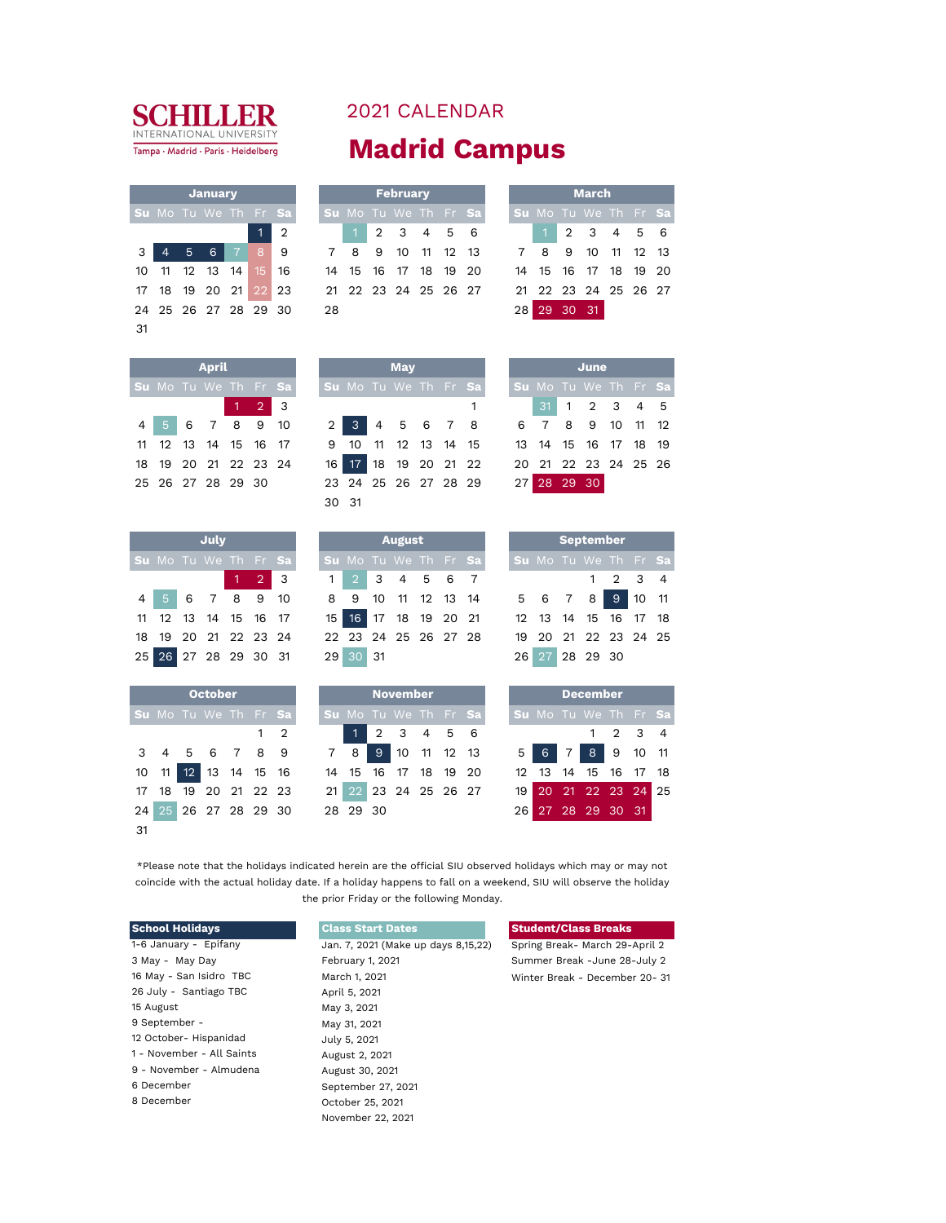

| <b>2021 CALENDAR</b> |  |
|----------------------|--|
| <b>Madrid Campus</b> |  |

|                |                      |       | <b>January</b> |                |              |                             |                |          |     | <b>February</b> |          |                       |                      |       |          | <b>March</b>         |          |  |
|----------------|----------------------|-------|----------------|----------------|--------------|-----------------------------|----------------|----------|-----|-----------------|----------|-----------------------|----------------------|-------|----------|----------------------|----------|--|
|                |                      |       |                |                |              | <b>Su</b> Mo Tu We Th Fr Sa |                |          |     |                 |          | Su Mo Tu We Th Fr Sal | Su Mo Tu We Th Fr Sa |       |          |                      |          |  |
|                |                      |       |                |                |              | $1 \mid 2$                  |                |          |     | 2 3 4 5 6       |          |                       |                      |       |          | 2 3 4 5 6            |          |  |
| $\overline{3}$ |                      | 4 5 6 |                | $\overline{7}$ | 89           |                             | $\overline{7}$ | -8       | - 9 | 10              | 11 12 13 |                       |                      | 7 8 9 |          | 10                   | 11 12 13 |  |
| 10             | 11                   |       | 12 13 14       |                | $15 \mid 16$ |                             |                | 14 15 16 |     | 17 18 19 20     |          |                       |                      |       |          | 14 15 16 17 18 19 20 |          |  |
|                | 17 18 19 20 21 22 23 |       |                |                |              |                             |                |          |     |                 |          | 21 22 23 24 25 26 27  |                      |       |          | 21 22 23 24 25 26 27 |          |  |
|                | 24 25 26 27 28 29 30 |       |                |                |              |                             | 28             |          |     |                 |          |                       | 28                   |       | 29 30 31 |                      |          |  |

|                      | <b>March</b>    |  |  |
|----------------------|-----------------|--|--|
| Su Mo Tu We Th Fr Sa |                 |  |  |
|                      | $1$ 2 3 4 5 6   |  |  |
|                      | 8 9 10 11 12 13 |  |  |
| 14 15 16 17 18 19 20 |                 |  |  |
| 21 22 23 24 25 26 27 |                 |  |  |
| 28 29 30 31          |                 |  |  |

|  | <b>April</b>         |                     |  |       | <b>May</b> |  |                                                               |  |                      | June         |  |  |
|--|----------------------|---------------------|--|-------|------------|--|---------------------------------------------------------------|--|----------------------|--------------|--|--|
|  | Su Mo Tu We Th Fr Sa |                     |  |       |            |  | Su Mo Tu We Th Fr Sa                                          |  | Su Mo Tu We Th Fr Sa |              |  |  |
|  |                      | $1 \quad 2 \quad 3$ |  |       |            |  |                                                               |  |                      | 31 1 2 3 4 5 |  |  |
|  | 4 5 6 7 8 9 10       |                     |  |       |            |  | 2 3 4 5 6 7 8 6 7 8 9 10 11 12                                |  |                      |              |  |  |
|  |                      |                     |  |       |            |  | 11 12 13 14 15 16 17 9 10 11 12 13 14 15 13 14 15 16 17 18 19 |  |                      |              |  |  |
|  | 18 19 20 21 22 23 24 |                     |  |       |            |  | 16 17 18 19 20 21 22 20 21 22 23 24 25 26                     |  |                      |              |  |  |
|  |                      |                     |  |       |            |  | 25 26 27 28 29 30 23 24 25 26 27 28 29 27 28 29 30            |  |                      |              |  |  |
|  |                      |                     |  | ว∩ ว1 |            |  |                                                               |  |                      |              |  |  |

31

|    |  | July                 |   |             |    |
|----|--|----------------------|---|-------------|----|
|    |  | Su Mo Tu We Th Fr Sa |   |             |    |
|    |  |                      |   | $1 \quad 2$ | 3  |
| 4  |  | $5 \t6 \t7$          | 8 | 9           | 10 |
| 11 |  | 12 13 14 15 16 17    |   |             |    |
| 18 |  | 19 20 21 22 23 24    |   |             |    |
|    |  | 25 26 27 28 29 30 31 |   |             |    |

|    |  | <b>October</b>       |  |            |
|----|--|----------------------|--|------------|
|    |  | Su Mo Tu We Th Fr Sa |  |            |
|    |  |                      |  | $1\quad 2$ |
|    |  | 3 4 5 6 7 8 9        |  |            |
|    |  | 10 11 12 13 14 15 16 |  |            |
|    |  | 17 18 19 20 21 22 23 |  |            |
|    |  | 24 25 26 27 28 29 30 |  |            |
| 31 |  |                      |  |            |

|                                    |      | $\overline{2}$ | 3 |       |          | 3 |               | 4 5 6 7              |  |     |  |                      | $1 \t2 \t3$ | $\overline{4}$ |
|------------------------------------|------|----------------|---|-------|----------|---|---------------|----------------------|--|-----|--|----------------------|-------------|----------------|
| <b>Su</b> Mo Tu We Th Fr <b>Sa</b> |      |                |   |       |          |   |               | Su Mo Tu We Th Fr Sa |  |     |  | Su Mo Tu We Th Fr Sa |             |                |
|                                    | July |                |   |       |          |   | <b>August</b> |                      |  |     |  | <b>September</b>     |             |                |
|                                    |      |                |   | 30 31 |          |   |               |                      |  |     |  |                      |             |                |
| 25 26 27 28 29 30                  |      |                |   |       |          |   |               | 23 24 25 26 27 28 29 |  | 271 |  | 28 29 30             |             |                |
| 18 19 20 21 22 23 24               |      |                |   |       | 16 17 18 |   |               | 19 20 21 22          |  |     |  | 20 21 22 23 24 25 26 |             |                |
| 11 12 13 14 15 16 17               |      |                |   |       |          |   |               | 9 10 11 12 13 14 15  |  |     |  | 13 14 15 16 17 18 19 |             |                |

|  |  |  |                                                           |                                                                      |               | <b>August</b> |  |  |                      |  | <b>PERCHINGL</b> |  |  |
|--|--|--|-----------------------------------------------------------|----------------------------------------------------------------------|---------------|---------------|--|--|----------------------|--|------------------|--|--|
|  |  |  |                                                           | Su Mo Tu We Th Fr Sat I Su Mo Tu We Th Fr Sat I Su Mo Tu We Th Fr Sa |               |               |  |  |                      |  |                  |  |  |
|  |  |  | $\begin{array}{c c c c c c} \hline 1 & 2 & 3 \end{array}$ |                                                                      | 1 2 3 4 5 6 7 |               |  |  |                      |  | 1 2 3 4          |  |  |
|  |  |  |                                                           | 4 5 6 7 8 9 10 8 9 10 11 12 13 14 5 6 7 8 9 10 11                    |               |               |  |  |                      |  |                  |  |  |
|  |  |  |                                                           | 11 12 13 14 15 16 17 15 16 17 18 19 20 21 12 13 14 15 16 17 18       |               |               |  |  |                      |  |                  |  |  |
|  |  |  |                                                           | 18 19 20 21 22 23 24 22 23 24 25 26 27 28                            |               |               |  |  | 19 20 21 22 23 24 25 |  |                  |  |  |
|  |  |  |                                                           | 25 26 27 28 29 30 31 29 30 31                                        |               |               |  |  |                      |  | 26 27 28 29 30   |  |  |

|                      | <b>October</b> |  |            |  |                      | <b>November</b> |  |  |                      |  | <b>December</b>      |                 |  |
|----------------------|----------------|--|------------|--|----------------------|-----------------|--|--|----------------------|--|----------------------|-----------------|--|
| Su Mo Tu We Th Fr Sa |                |  |            |  | Su Mo Tu We Th Fr Sa |                 |  |  | Su Mo Tu We Th Fr Sa |  |                      |                 |  |
|                      |                |  | $1\quad 2$ |  |                      | 1 2 3 4 5 6     |  |  |                      |  |                      | $1 \t2 \t3 \t4$ |  |
| 3 4 5 6 7 8 9        |                |  |            |  | 7 8 I                | 9 10 11 12 13   |  |  | 5 <sup>1</sup>       |  | 6 7 8 9 10 11        |                 |  |
| 10 11 12 13 14 15 16 |                |  |            |  | 14 15 16 17 18 19 20 |                 |  |  |                      |  | 12 13 14 15 16 17 18 |                 |  |
| 17 18 19 20 21 22 23 |                |  |            |  | 21 22 23 24 25 26 27 |                 |  |  |                      |  | 19 20 21 22 23 24 25 |                 |  |
| 24 25 26 27 28 29 30 |                |  |            |  | 28 29 30             |                 |  |  | 261                  |  | 27 28 29 30 31       |                 |  |

|  | <b>September</b>     |                 |  |
|--|----------------------|-----------------|--|
|  | Su Mo Tu We Th Fr Sa |                 |  |
|  |                      | $1 \t2 \t3 \t4$ |  |
|  | 5 6 7 8 9 10 11      |                 |  |
|  | 12 13 14 15 16 17 18 |                 |  |
|  | 19 20 21 22 23 24 25 |                 |  |
|  | 26 27 28 29 30       |                 |  |

| Su Mo Tu We Th Fr Sa<br>$1 \quad 2 \quad 3 \quad 4$<br>12 13 14 15 16 17 18 |  |  | <b>December</b> |  |  |  |  |
|-----------------------------------------------------------------------------|--|--|-----------------|--|--|--|--|
| 5 6 7 8 9 10 11                                                             |  |  |                 |  |  |  |  |
|                                                                             |  |  |                 |  |  |  |  |
|                                                                             |  |  |                 |  |  |  |  |
|                                                                             |  |  |                 |  |  |  |  |
| 19 20 21 22 23 24 25<br>26 27 28 29 30 31                                   |  |  |                 |  |  |  |  |
|                                                                             |  |  |                 |  |  |  |  |

\*Please note that the holidays indicated herein are the official SIU observed holidays which may or may not coincide with the actual holiday date. If a holiday happens to fall on a weekend, SIU will observe the holiday the prior Friday or the following Monday.

| <b>School Holidays</b>    | <b>Class Start Dates</b>            | <b>Student/Class Breaks</b>    |
|---------------------------|-------------------------------------|--------------------------------|
| 1-6 January - Epifany     | Jan. 7, 2021 (Make up days 8,15,22) | Spring Break- March 29-April 2 |
| 3 May - May Day           | February 1, 2021                    | Summer Break -June 28-July 2   |
| 16 May - San Isidro TBC   | March 1, 2021                       | Winter Break - December 20-31  |
| 26 July - Santiago TBC    | April 5, 2021                       |                                |
| 15 August                 | May 3, 2021                         |                                |
| 9 September -             | May 31, 2021                        |                                |
| 12 October- Hispanidad    | July 5, 2021                        |                                |
| 1 - November - All Saints | August 2, 2021                      |                                |
| 9 - November - Almudena   | August 30, 2021                     |                                |
| 6 December                | September 27, 2021                  |                                |
| 8 December                | October 25, 2021                    |                                |
|                           | November 22, 2021                   |                                |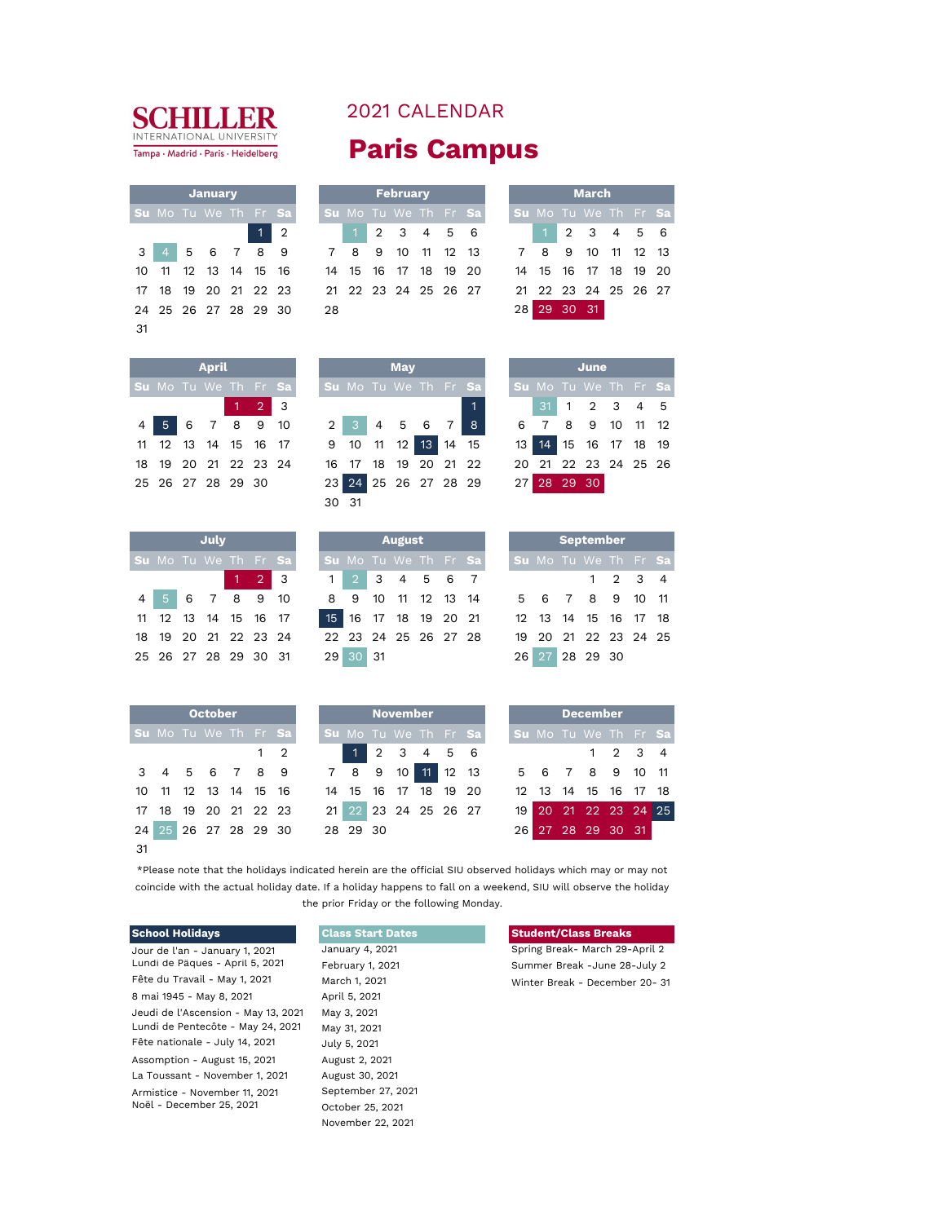

|    |                      | <b>January</b>    |    |                |    |       |    | February             |    |          |  |    |                    |          | Mar  |
|----|----------------------|-------------------|----|----------------|----|-------|----|----------------------|----|----------|--|----|--------------------|----------|------|
|    | Su Mo Tu We Th Fr Sa |                   |    |                |    |       |    | Su Mo Tu We Th Fr Sa |    |          |  |    | <b>Su</b> Mo Tu We |          |      |
|    |                      |                   | 47 | $\overline{2}$ |    |       |    | 2 3 4 5 6            |    |          |  |    |                    | 2        | - 3  |
| 3  | 4                    | 5 6 7 8 9         |    |                | 7  | 8     | 9  | 10                   |    | 11 12 13 |  |    | 8                  | 9        | -10  |
| 10 |                      | 11 12 13 14 15 16 |    |                |    | 14 15 | 16 | 17                   | 18 | 19 20    |  |    | 14 15 16           |          | - 17 |
| 17 | 18                   | 19 20 21 22 23    |    |                |    |       |    | 21 22 23 24 25 26 27 |    |          |  |    | 21 22 23 24        |          |      |
|    | 24 25 26 27 28 29 30 |                   |    |                | 28 |       |    |                      |    |          |  | 28 |                    | 29 30 31 |      |
| 31 |                      |                   |    |                |    |       |    |                      |    |          |  |    |                    |          |      |

## 2021 CALENDAR **Paris Campus**

|  | January              |  |                      |                                                   |                      | February |  |  | <b>March</b><br>Su Mo Tu We Th Fr Sa |                      |  |  |  |  |
|--|----------------------|--|----------------------|---------------------------------------------------|----------------------|----------|--|--|--------------------------------------|----------------------|--|--|--|--|
|  |                      |  | Su Mo Tu We Th Fr Sa |                                                   | Su Mo Tu We Th Fr Sa |          |  |  |                                      |                      |  |  |  |  |
|  |                      |  | $1\vert 2$           |                                                   | 1 2 3 4 5 6          |          |  |  |                                      | 1 2 3 4 5 6          |  |  |  |  |
|  |                      |  |                      | 3 4 5 6 7 8 9 7 8 9 10 11 12 13 7 8 9 10 11 12 13 |                      |          |  |  |                                      |                      |  |  |  |  |
|  |                      |  |                      | 10 11 12 13 14 15 16 14 15 16 17 18 19 20         |                      |          |  |  |                                      | 14 15 16 17 18 19 20 |  |  |  |  |
|  |                      |  |                      | 17 18 19 20 21 22 23 21 22 23 24 25 26 27         |                      |          |  |  |                                      | 21 22 23 24 25 26 27 |  |  |  |  |
|  | 24 25 26 27 28 29 30 |  |                      | 28                                                |                      |          |  |  |                                      | 28 29 30 31          |  |  |  |  |

|    |          | <b>March</b>         |  |  |
|----|----------|----------------------|--|--|
|    |          | Su Mo Tu We Th Fr Sa |  |  |
|    |          | $1$ 2 3 4 5 6        |  |  |
|    |          | 8 9 10 11 12 13      |  |  |
|    |          | 14 15 16 17 18 19 20 |  |  |
|    |          | 21 22 23 24 25 26 27 |  |  |
| 28 | 29 30 31 |                      |  |  |

|  | <b>April</b>      |                     |                      |                                                     |                                  | <b>May</b> |  |                |  |  | June                 |  |
|--|-------------------|---------------------|----------------------|-----------------------------------------------------|----------------------------------|------------|--|----------------|--|--|----------------------|--|
|  |                   |                     | Su Mo Tu We Th Fr Sa |                                                     | Su Mo Tu We Th Fr Sa             |            |  |                |  |  | Su Mo Tu We Th Fr Sa |  |
|  |                   | $1 \quad 2 \quad 3$ |                      |                                                     |                                  |            |  |                |  |  | $31$ 1 2 3 4 5       |  |
|  | 4 5 6 7 8 9 10    |                     |                      | $2 \begin{bmatrix} 3 & 4 & 5 & 6 & 7 \end{bmatrix}$ |                                  |            |  | 8 <sup>1</sup> |  |  | 6 7 8 9 10 11 12     |  |
|  |                   |                     | 11 12 13 14 15 16 17 |                                                     | $9$ 10 11 12 13 14 15            |            |  |                |  |  | 13 14 15 16 17 18 19 |  |
|  |                   |                     | 18 19 20 21 22 23 24 |                                                     | 16 17 18 19 20 21 22             |            |  |                |  |  | 20 21 22 23 24 25 26 |  |
|  | 25 26 27 28 29 30 |                     |                      |                                                     | 23 24 25 26 27 28 29 27 28 29 30 |            |  |                |  |  |                      |  |
|  |                   |                     |                      |                                                     | ว∩ ว1                            |            |  |                |  |  |                      |  |

|    |  | July                 |                     |  |
|----|--|----------------------|---------------------|--|
|    |  | Su Mo Tu We Th Fr Sa |                     |  |
|    |  |                      | $1 \quad 2 \quad 3$ |  |
|    |  | 4 5 6 7 8 9 10       |                     |  |
| 11 |  | 12 13 14 15 16 17    |                     |  |
| 18 |  | 19 20 21 22 23 24    |                     |  |
|    |  | 25 26 27 28 29 30 31 |                     |  |

|                      | July |                     | September<br>August<br>Su Mo Tu We Th Fr Sa |                      |  |  |  |  |  |                      |  |                      |  |  |
|----------------------|------|---------------------|---------------------------------------------|----------------------|--|--|--|--|--|----------------------|--|----------------------|--|--|
| Su Mo Tu We Th Fr Sa |      |                     |                                             |                      |  |  |  |  |  | Su Mo Tu We Th Fr Sa |  |                      |  |  |
|                      |      | $1 \quad 2 \quad 3$ |                                             | 1 2 3 4 5 6 7        |  |  |  |  |  |                      |  | $1 \t2 \t3 \t4$      |  |  |
| 4 5 6 7 8 9 10       |      |                     | 8 9 10 11 12 13 14 5 6 7 8 9 10 11          |                      |  |  |  |  |  |                      |  |                      |  |  |
| 11 12 13 14 15 16 17 |      |                     |                                             | 15 16 17 18 19 20 21 |  |  |  |  |  |                      |  | 12 13 14 15 16 17 18 |  |  |
| 18 19 20 21 22 23 24 |      |                     |                                             | 22 23 24 25 26 27 28 |  |  |  |  |  |                      |  | 19 20 21 22 23 24 25 |  |  |
| 25 26 27 28 29 30 31 |      |                     | 29 30 31                                    |                      |  |  |  |  |  |                      |  | 26 27 28 29 30       |  |  |

30 31

|             |                  | 6 7 8 9 10 11 12     |  |
|-------------|------------------|----------------------|--|
|             |                  | 13 14 15 16 17 18 19 |  |
|             |                  | 20 21 22 23 24 25 26 |  |
| 27 28 29 30 |                  |                      |  |
|             |                  |                      |  |
|             |                  |                      |  |
|             | <b>September</b> |                      |  |
|             |                  |                      |  |

|  | <b>Septemper</b>     |                 |  |
|--|----------------------|-----------------|--|
|  | Su Mo Tu We Th Fr Sa |                 |  |
|  |                      | $1 \t2 \t3 \t4$ |  |
|  | 5 6 7 8 9 10 11      |                 |  |
|  | 12 13 14 15 16 17 18 |                 |  |
|  | 19 20 21 22 23 24 25 |                 |  |
|  | 26 27 28 29 30       |                 |  |

|     |                             | <b>October</b>    |  |            |  |                      | <b>November</b> |  |                      |  |                          | <b>December</b> |                     |  |
|-----|-----------------------------|-------------------|--|------------|--|----------------------|-----------------|--|----------------------|--|--------------------------|-----------------|---------------------|--|
|     | <b>Su</b> Mo Tu We Th Fr Sa |                   |  |            |  |                      |                 |  | Su Mo Tu We Th Fr Sa |  | <b>Su</b> Mo Tu We Th Fr |                 |                     |  |
|     |                             |                   |  | $1\quad 2$ |  |                      | $1$ 2 3 4 5 6   |  |                      |  |                          |                 | $1 \quad 2 \quad 3$ |  |
|     | 3 4 5 6 7 8 9               |                   |  |            |  | 7 8 9 10 11 12 13    |                 |  |                      |  | 5 6 7 8 9 10             |                 |                     |  |
|     | 10 11 12 13 14 15 16        |                   |  |            |  | 14 15 16 17 18 19 20 |                 |  |                      |  | 12 13 14 15 16 17        |                 |                     |  |
|     | 17 18 19 20 21 22 23        |                   |  |            |  | 21 22 23 24 25 26 27 |                 |  |                      |  | 19 20 21 22 23 24        |                 |                     |  |
| 24  |                             | 25 26 27 28 29 30 |  |            |  | 28 29 30             |                 |  |                      |  | 26 27 28 29 30 31        |                 |                     |  |
| -31 |                             |                   |  |            |  |                      |                 |  |                      |  |                          |                 |                     |  |

|                      | <b>October</b> |  |             |  |          | <b>November</b> |                      |                      |               |  | <b>December</b>      |         |  |
|----------------------|----------------|--|-------------|--|----------|-----------------|----------------------|----------------------|---------------|--|----------------------|---------|--|
| Su Mo Tu We Th Fr Sa |                |  |             |  |          |                 |                      | Su Mo Tu We Th Fr Sa |               |  | Su Mo Tu We Th Fr Sa |         |  |
|                      |                |  | $1 \quad 2$ |  |          |                 | $1$ 2 3 4 5 6        |                      |               |  |                      | 1 2 3 4 |  |
| 3 4 5 6 7 8 9        |                |  |             |  |          |                 | 7 8 9 10 11 12 13    |                      |               |  | 5 6 7 8 9 10 11      |         |  |
| 10 11 12 13 14 15 16 |                |  |             |  |          |                 | 14 15 16 17 18 19 20 |                      |               |  | 12 13 14 15 16 17 18 |         |  |
| 17 18 19 20 21 22 23 |                |  |             |  |          |                 | 21 22 23 24 25 26 27 |                      |               |  | 19 20 21 22 23 24 25 |         |  |
| 24.05.25.25.20.20.20 |                |  |             |  | ററെ ററാറ |                 |                      |                      | $\cap$ $\cap$ |  | 27.20.20.20.21       |         |  |

|  | <b>December</b>      |                 |  |
|--|----------------------|-----------------|--|
|  | Su Mo Tu We Th Fr Sa |                 |  |
|  |                      | $1 \t2 \t3 \t4$ |  |
|  | 5 6 7 8 9 10 11      |                 |  |
|  | 12 13 14 15 16 17 18 |                 |  |
|  | 19 20 21 22 23 24 25 |                 |  |
|  | 26 27 28 29 30 31    |                 |  |

\*Please note that the holidays indicated herein are the official SIU observed holidays which may or may not coincide with the actual holiday date. If a holiday happens to fall on a weekend, SIU will observe the holiday the prior Friday or the following Monday.

## Jour de l'an - January 1, 2021 January 4, 2021 Spring Break- March 29-April 2 Lundi de Pâques - April 5, 2021 Summer Break -June 28-July 2 8 mai 1945 - May 8, 2021 Jeudi de l'Ascension - May 13, 2021 Lundi de Pentecôte - May 24, 2021 Fête nationale - July 14, 2021 Assomption - August 15, 2021 La Toussant - November 1, 2021 Armistice - November 11, 2021 Noël - December 25, 2021

| Glass Start Dates  |
|--------------------|
| January 4, 2021    |
| February 1, 2021   |
| March 1, 2021      |
| April 5, 2021      |
| May 3, 2021        |
| May 31, 2021       |
| July 5, 2021       |
| August 2, 2021     |
| August 30, 2021    |
| September 27, 2021 |
| October 25, 2021   |
| November 22, 2021  |

## **School Holidays Class Start Dates Student/Class Breaks**

Winter Break - December 20- 31